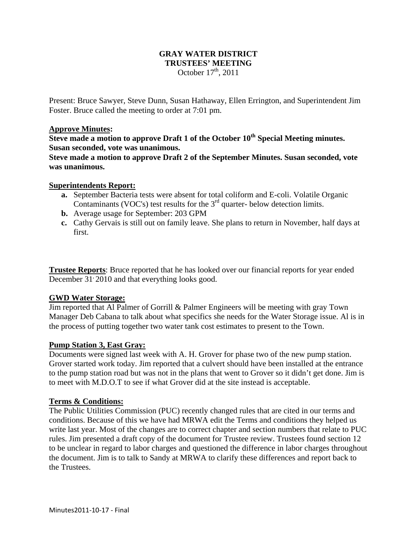# **GRAY WATER DISTRICT TRUSTEES' MEETING**  October  $17<sup>th</sup>$ , 2011

Present: Bruce Sawyer, Steve Dunn, Susan Hathaway, Ellen Errington, and Superintendent Jim Foster. Bruce called the meeting to order at 7:01 pm.

### **Approve Minutes:**

**Steve made a motion to approve Draft 1 of the October 10th Special Meeting minutes. Susan seconded, vote was unanimous.** 

**Steve made a motion to approve Draft 2 of the September Minutes. Susan seconded, vote was unanimous.** 

### **Superintendents Report:**

- **a.** September Bacteria tests were absent for total coliform and E-coli. Volatile Organic Contaminants (VOC's) test results for the  $3<sup>rd</sup>$  quarter- below detection limits.
- **b.** Average usage for September: 203 GPM
- **c.** Cathy Gervais is still out on family leave. She plans to return in November, half days at first.

**Trustee Reports**: Bruce reported that he has looked over our financial reports for year ended December 31<sup>,</sup> 2010 and that everything looks good.

### **GWD Water Storage:**

Jim reported that Al Palmer of Gorrill & Palmer Engineers will be meeting with gray Town Manager Deb Cabana to talk about what specifics she needs for the Water Storage issue. Al is in the process of putting together two water tank cost estimates to present to the Town.

## **Pump Station 3, East Gray:**

Documents were signed last week with A. H. Grover for phase two of the new pump station. Grover started work today. Jim reported that a culvert should have been installed at the entrance to the pump station road but was not in the plans that went to Grover so it didn't get done. Jim is to meet with M.D.O.T to see if what Grover did at the site instead is acceptable.

#### **Terms & Conditions:**

The Public Utilities Commission (PUC) recently changed rules that are cited in our terms and conditions. Because of this we have had MRWA edit the Terms and conditions they helped us write last year. Most of the changes are to correct chapter and section numbers that relate to PUC rules. Jim presented a draft copy of the document for Trustee review. Trustees found section 12 to be unclear in regard to labor charges and questioned the difference in labor charges throughout the document. Jim is to talk to Sandy at MRWA to clarify these differences and report back to the Trustees.